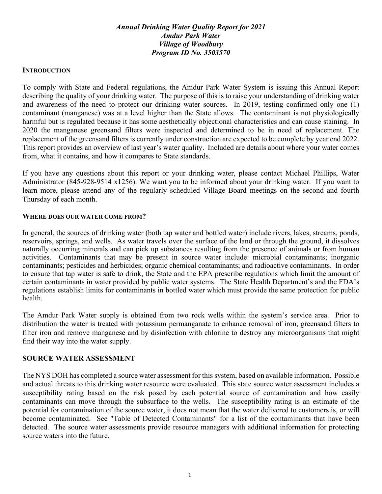## *Annual Drinking Water Quality Report for 2021 Amdur Park Water Village of Woodbury Program ID No. 3503570*

### **INTRODUCTION**

To comply with State and Federal regulations, the Amdur Park Water System is issuing this Annual Report describing the quality of your drinking water. The purpose of this is to raise your understanding of drinking water and awareness of the need to protect our drinking water sources. In 2019, testing confirmed only one (1) contaminant (manganese) was at a level higher than the State allows. The contaminant is not physiologically harmful but is regulated because it has some aesthetically objectional characteristics and can cause staining. In 2020 the manganese greensand filters were inspected and determined to be in need of replacement. The replacement of the greensand filters is currently under construction are expected to be complete by year end 2022. This report provides an overview of last year's water quality. Included are details about where your water comes from, what it contains, and how it compares to State standards.

If you have any questions about this report or your drinking water, please contact Michael Phillips, Water Administrator (845-928-9514 x1256). We want you to be informed about your drinking water. If you want to learn more, please attend any of the regularly scheduled Village Board meetings on the second and fourth Thursday of each month.

### **WHERE DOES OUR WATER COME FROM?**

In general, the sources of drinking water (both tap water and bottled water) include rivers, lakes, streams, ponds, reservoirs, springs, and wells. As water travels over the surface of the land or through the ground, it dissolves naturally occurring minerals and can pick up substances resulting from the presence of animals or from human activities. Contaminants that may be present in source water include: microbial contaminants; inorganic contaminants; pesticides and herbicides; organic chemical contaminants; and radioactive contaminants. In order to ensure that tap water is safe to drink, the State and the EPA prescribe regulations which limit the amount of certain contaminants in water provided by public water systems. The State Health Department's and the FDA's regulations establish limits for contaminants in bottled water which must provide the same protection for public health.

The Amdur Park Water supply is obtained from two rock wells within the system's service area. Prior to distribution the water is treated with potassium permanganate to enhance removal of iron, greensand filters to filter iron and remove manganese and by disinfection with chlorine to destroy any microorganisms that might find their way into the water supply.

## **SOURCE WATER ASSESSMENT**

The NYS DOH has completed a source water assessment for this system, based on available information. Possible and actual threats to this drinking water resource were evaluated. This state source water assessment includes a susceptibility rating based on the risk posed by each potential source of contamination and how easily contaminants can move through the subsurface to the wells. The susceptibility rating is an estimate of the potential for contamination of the source water, it does not mean that the water delivered to customers is, or will become contaminated. See "Table of Detected Contaminants" for a list of the contaminants that have been detected. The source water assessments provide resource managers with additional information for protecting source waters into the future.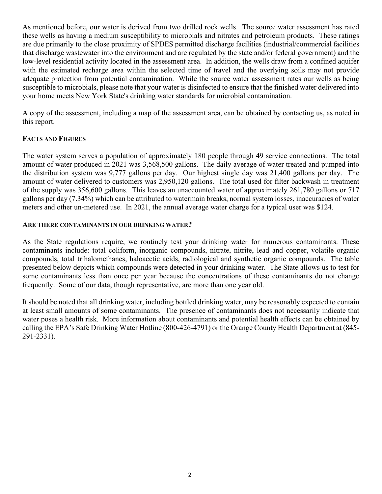As mentioned before, our water is derived from two drilled rock wells. The source water assessment has rated these wells as having a medium susceptibility to microbials and nitrates and petroleum products. These ratings are due primarily to the close proximity of SPDES permitted discharge facilities (industrial/commercial facilities that discharge wastewater into the environment and are regulated by the state and/or federal government) and the low-level residential activity located in the assessment area. In addition, the wells draw from a confined aquifer with the estimated recharge area within the selected time of travel and the overlying soils may not provide adequate protection from potential contamination. While the source water assessment rates our wells as being susceptible to microbials, please note that your water is disinfected to ensure that the finished water delivered into your home meets New York State's drinking water standards for microbial contamination.

A copy of the assessment, including a map of the assessment area, can be obtained by contacting us, as noted in this report.

## **FACTS AND FIGURES**

The water system serves a population of approximately 180 people through 49 service connections. The total amount of water produced in 2021 was 3,568,500 gallons. The daily average of water treated and pumped into the distribution system was 9,777 gallons per day. Our highest single day was 21,400 gallons per day. The amount of water delivered to customers was 2,950,120 gallons. The total used for filter backwash in treatment of the supply was 356,600 gallons. This leaves an unaccounted water of approximately 261,780 gallons or 717 gallons per day (7.34%) which can be attributed to watermain breaks, normal system losses, inaccuracies of water meters and other un-metered use. In 2021, the annual average water charge for a typical user was \$124.

## **ARE THERE CONTAMINANTS IN OUR DRINKING WATER?**

As the State regulations require, we routinely test your drinking water for numerous contaminants. These contaminants include: total coliform, inorganic compounds, nitrate, nitrite, lead and copper, volatile organic compounds, total trihalomethanes, haloacetic acids, radiological and synthetic organic compounds. The table presented below depicts which compounds were detected in your drinking water. The State allows us to test for some contaminants less than once per year because the concentrations of these contaminants do not change frequently. Some of our data, though representative, are more than one year old.

It should be noted that all drinking water, including bottled drinking water, may be reasonably expected to contain at least small amounts of some contaminants. The presence of contaminants does not necessarily indicate that water poses a health risk. More information about contaminants and potential health effects can be obtained by calling the EPA's Safe Drinking Water Hotline (800-426-4791) or the Orange County Health Department at (845- 291-2331).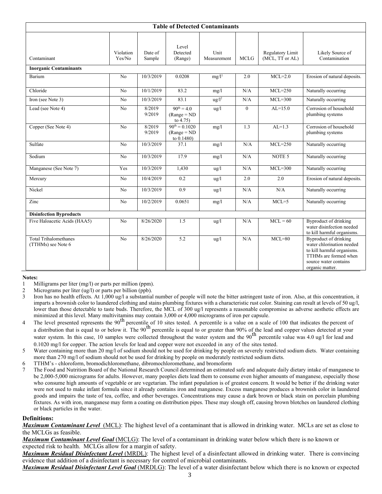| <b>Table of Detected Contaminants</b>              |                     |                   |                                                    |                     |                |                                     |                                                                                                                                                       |
|----------------------------------------------------|---------------------|-------------------|----------------------------------------------------|---------------------|----------------|-------------------------------------|-------------------------------------------------------------------------------------------------------------------------------------------------------|
| Contaminant                                        | Violation<br>Yes/No | Date of<br>Sample | Level<br>Detected<br>(Range)                       | Unit<br>Measurement | MCLG           | Regulatory Limit<br>(MCL, TT or AL) | Likely Source of<br>Contamination                                                                                                                     |
| <b>Inorganic Contaminants</b>                      |                     |                   |                                                    |                     |                |                                     |                                                                                                                                                       |
| Barium                                             | No                  | 10/3/2019         | 0.0208                                             | $mg/l^1$            | 2.0            | $MCL=2.0$                           | Erosion of natural deposits.                                                                                                                          |
| Chloride                                           | N <sub>o</sub>      | 10/1/2019         | 83.2                                               | mg/l                | N/A            | $MCL=250$                           | Naturally occurring                                                                                                                                   |
| Iron (see Note 3)                                  | N <sub>o</sub>      | 10/3/2019         | 83.1                                               | $\frac{u g}{l^2}$   | N/A            | $MCL=300$                           | Naturally occurring                                                                                                                                   |
| Lead (see Note 4)                                  | No                  | 8/2019<br>9/2019  | $90^{th} = 4.0$<br>$(Range = ND)$<br>to $4.75$ )   | $\frac{u}{g}$       | $\overline{0}$ | $AL=15.0$                           | Corrosion of household<br>plumbing systems                                                                                                            |
| Copper (See Note 4)                                | No                  | 8/2019<br>9/2019  | $90^{th} = 0.1020$<br>$(Range = ND)$<br>to 0.1480) | mg/l                | 1.3            | $AL=1.3$                            | Corrosion of household<br>plumbing systems                                                                                                            |
| Sulfate                                            | N <sub>o</sub>      | 10/3/2019         | 37.1                                               | mg/l                | N/A            | $MCL=250$                           | Naturally occurring                                                                                                                                   |
| Sodium                                             | N <sub>o</sub>      | 10/3/2019         | 17.9                                               | mg/l                | N/A            | NOTE 5                              | Naturally occurring                                                                                                                                   |
| Manganese (See Note 7)                             | Yes                 | 10/3/2019         | 1,430                                              | $\frac{u}{g}$       | N/A            | $MCL=300$                           | Naturally occurring                                                                                                                                   |
| Mercury                                            | N <sub>o</sub>      | 10/4/2019         | 0.2                                                | ug/l                | 2.0            | 2.0                                 | Erosion of natural deposits.                                                                                                                          |
| Nickel                                             | N <sub>o</sub>      | 10/3/2019         | 0.9                                                | $\frac{u}{g}$       | N/A            | N/A                                 | Naturally occurring                                                                                                                                   |
| Zinc                                               | N <sub>o</sub>      | 10/2/2019         | 0.0651                                             | mg/l                | N/A            | $MCL=5$                             | Naturally occurring                                                                                                                                   |
| <b>Disinfection Byproducts</b>                     |                     |                   |                                                    |                     |                |                                     |                                                                                                                                                       |
| Five Haloacetic Acids (HAA5)                       | No                  | 8/26/2020         | 1.5                                                | $\frac{u}{g}$       | N/A            | $MCL = 60$                          | <b>Byproduct of drinking</b><br>water disinfection needed<br>to kill harmful organisms.                                                               |
| <b>Total Trihalomethanes</b><br>(TTHMs) see Note 6 | No                  | 8/26/2020         | 5.2                                                | ug/l                | N/A            | $MCL=80$                            | Byproduct of drinking<br>water chlorination needed<br>to kill harmful organisms.<br>TTHMs are formed when<br>source water contains<br>organic matter. |

#### **Notes:**

1 Milligrams per liter (mg/l) or parts per million (ppm).

2 Micrograms per liter (ug/l) or parts per billion (ppb).

- 3 Iron has no health effects. At 1,000 ug/l a substantial number of people will note the bitter astringent taste of iron. Also, at this concentration, it imparts a brownish color to laundered clothing and stains plumbing fixtures with a characteristic rust color. Staining can result at levels of 50 ug/l, lower than those detectable to taste buds. Therefore, the MCL of 300 ug/l represents a reasonable compromise as adverse aesthetic effects are minimized at this level. Many multivitamins may contain 3,000 or 4,000 micrograms of iron per capsule.
- <sup>4</sup> The level presented represents the 90<sup>th</sup> percentile of 10 sites tested. A percentile is a value on a scale of 100 that indicates the percent of a distribution that is equal to or below it. The 90<sup>th</sup> percentile is equal to or greater than 90% of the lead and copper values detected at your water system. In this case, 10 samples were collected throughout the water system and the 90<sup>th</sup> percentile value was 4.0 ug/l for lead and water system. 0.1020 mg/l for copper. The action levels for lead and copper were not exceeded in any of the sites tested.
- 5 Water containing more than 20 mg/l of sodium should not be used for drinking by people on severely restricted sodium diets. Water containing more than 270 mg/l of sodium should not be used for drinking by people on moderately restricted sodium diets.

6 TTHM's - chloroform, bromodichloromethane, dibromochloromethane, and bromoform

7 The Food and Nutrition Board of the National Research Council determined an estimated safe and adequate daily dietary intake of manganese to be 2,000-5,000 micrograms for adults. However, many peoples diets lead them to consume even higher amounts of manganese, especially those who consume high amounts of vegetable or are vegetarian. The infant population is of greatest concern. It would be better if the drinking water were not used to make infant formula since it already contains iron and manganese. Excess manganese produces a brownish color in laundered goods and impairs the taste of tea, coffee, and other beverages. Concentrations may cause a dark brown or black stain on porcelain plumbing fixtures. As with iron, manganese may form a coating on distribution pipes. These may slough off, causing brown blotches on laundered clothing or black particles in the water.

#### **Definitions:**

*Maximum Contaminant Level*(MCL): The highest level of a contaminant that is allowed in drinking water. MCLs are set as close to the MCLGs as feasible.

*Maximum Contaminant Level Goal* (MCLG): The level of a contaminant in drinking water below which there is no known or expected risk to health. MCLGs allow for a margin of safety.

*Maximum Residual Disinfectant Level* (MRDL): The highest level of a disinfectant allowed in drinking water. There is convincing evidence that addition of a disinfectant is necessary for control of microbial contaminants.

*Maximum Residual Disinfectant Level Goal* (MRDLG): The level of a water disinfectant below which there is no known or expected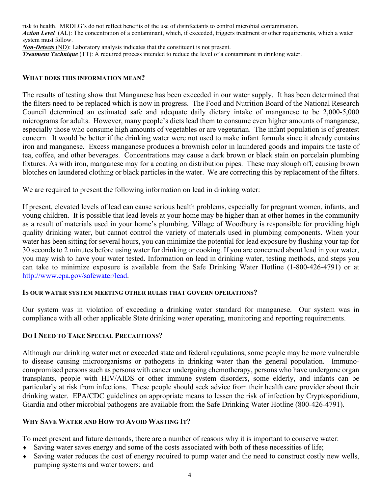risk to health. MRDLG's do not reflect benefits of the use of disinfectants to control microbial contamination.

*Action Level* (AL): The concentration of a contaminant, which, if exceeded, triggers treatment or other requirements, which a water system must follow.

*Non-Detects* (ND): Laboratory analysis indicates that the constituent is not present.

*Treatment Technique* (TT): A required process intended to reduce the level of a contaminant in drinking water.

### **WHAT DOES THIS INFORMATION MEAN?**

The results of testing show that Manganese has been exceeded in our water supply. It has been determined that the filters need to be replaced which is now in progress. The Food and Nutrition Board of the National Research Council determined an estimated safe and adequate daily dietary intake of manganese to be 2,000-5,000 micrograms for adults. However, many people's diets lead them to consume even higher amounts of manganese, especially those who consume high amounts of vegetables or are vegetarian. The infant population is of greatest concern. It would be better if the drinking water were not used to make infant formula since it already contains iron and manganese. Excess manganese produces a brownish color in laundered goods and impairs the taste of tea, coffee, and other beverages. Concentrations may cause a dark brown or black stain on porcelain plumbing fixtures. As with iron, manganese may for a coating on distribution pipes. These may slough off, causing brown blotches on laundered clothing or black particles in the water. We are correcting this by replacement of the filters.

We are required to present the following information on lead in drinking water:

If present, elevated levels of lead can cause serious health problems, especially for pregnant women, infants, and young children. It is possible that lead levels at your home may be higher than at other homes in the community as a result of materials used in your home's plumbing. Village of Woodbury is responsible for providing high quality drinking water, but cannot control the variety of materials used in plumbing components. When your water has been sitting for several hours, you can minimize the potential for lead exposure by flushing your tap for 30 seconds to 2 minutes before using water for drinking or cooking. If you are concerned about lead in your water, you may wish to have your water tested. Information on lead in drinking water, testing methods, and steps you can take to minimize exposure is available from the Safe Drinking Water Hotline (1-800-426-4791) or at http://www.epa.gov/safewater/lead.

### **IS OUR WATER SYSTEM MEETING OTHER RULES THAT GOVERN OPERATIONS?**

Our system was in violation of exceeding a drinking water standard for manganese. Our system was in compliance with all other applicable State drinking water operating, monitoring and reporting requirements.

## **DO I NEED TO TAKE SPECIAL PRECAUTIONS?**

Although our drinking water met or exceeded state and federal regulations, some people may be more vulnerable to disease causing microorganisms or pathogens in drinking water than the general population. Immunocompromised persons such as persons with cancer undergoing chemotherapy, persons who have undergone organ transplants, people with HIV/AIDS or other immune system disorders, some elderly, and infants can be particularly at risk from infections. These people should seek advice from their health care provider about their drinking water. EPA/CDC guidelines on appropriate means to lessen the risk of infection by Cryptosporidium, Giardia and other microbial pathogens are available from the Safe Drinking Water Hotline (800-426-4791).

## **WHY SAVE WATER AND HOW TO AVOID WASTING IT?**

To meet present and future demands, there are a number of reasons why it is important to conserve water:

- ♦ Saving water saves energy and some of the costs associated with both of these necessities of life;
- ♦ Saving water reduces the cost of energy required to pump water and the need to construct costly new wells, pumping systems and water towers; and